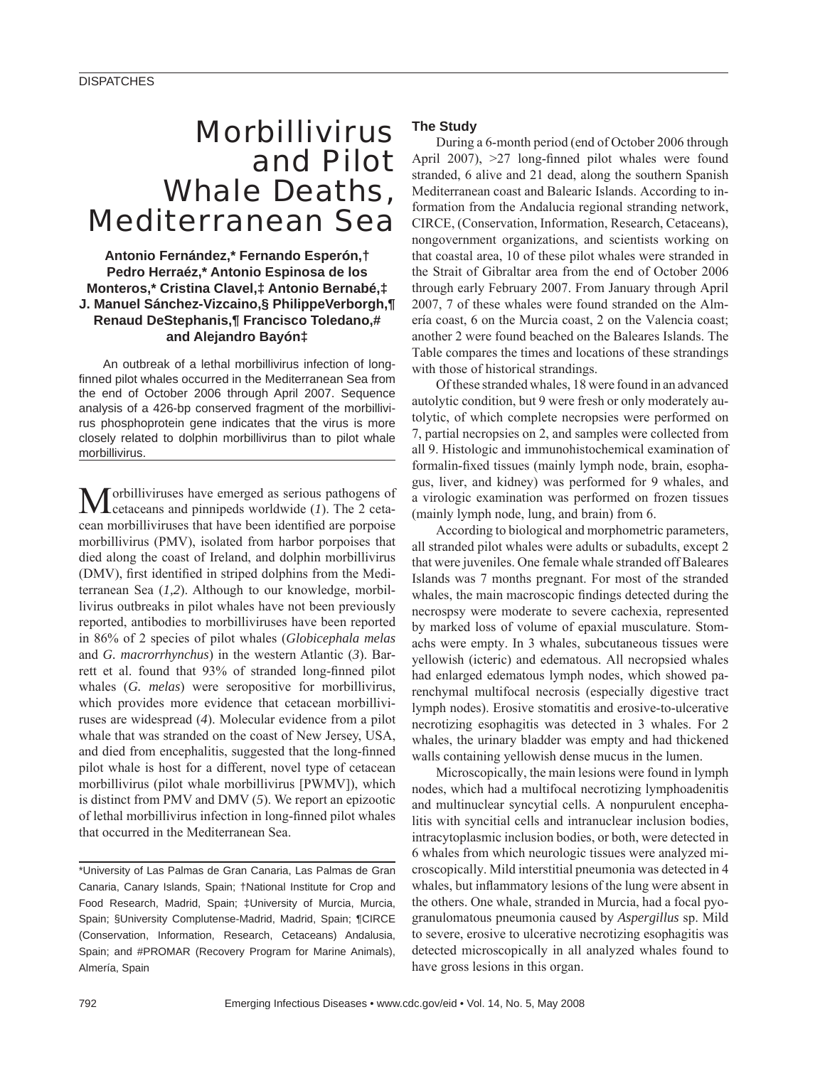## Morbillivirus and Pilot Whale Deaths, Mediterranean Sea

#### **Antonio Fernández,\* Fernando Esperón,† Pedro Herraéz,\* Antonio Espinosa de los Monteros,\* Cristina Clavel,‡ Antonio Bernabé,‡ J. Manuel Sánchez-Vizcaino,§ PhilippeVerborgh,¶ Renaud DeStephanis,¶ Francisco Toledano,# and Alejandro Bayón‡**

An outbreak of a lethal morbillivirus infection of longfinned pilot whales occurred in the Mediterranean Sea from the end of October 2006 through April 2007. Sequence analysis of a 426-bp conserved fragment of the morbillivirus phosphoprotein gene indicates that the virus is more closely related to dolphin morbillivirus than to pilot whale morbillivirus.

Morbilliviruses have emerged as serious pathogens of cetaceans and pinnipeds worldwide (*1*). The 2 cetacean morbilliviruses that have been identified are porpoise morbillivirus (PMV), isolated from harbor porpoises that died along the coast of Ireland, and dolphin morbillivirus (DMV), first identified in striped dolphins from the Mediterranean Sea (*1,2*). Although to our knowledge, morbillivirus outbreaks in pilot whales have not been previously reported, antibodies to morbilliviruses have been reported in 86% of 2 species of pilot whales (*Globicephala melas* and *G. macrorrhynchus*) in the western Atlantic (*3*). Barrett et al. found that 93% of stranded long-finned pilot whales (*G. melas*) were seropositive for morbillivirus, which provides more evidence that cetacean morbilliviruses are widespread (*4*). Molecular evidence from a pilot whale that was stranded on the coast of New Jersey, USA, and died from encephalitis, suggested that the long-finned pilot whale is host for a different, novel type of cetacean morbillivirus (pilot whale morbillivirus [PWMV]), which is distinct from PMV and DMV (*5*). We report an epizootic of lethal morbillivirus infection in long-finned pilot whales that occurred in the Mediterranean Sea.

\*University of Las Palmas de Gran Canaria, Las Palmas de Gran Canaria, Canary Islands, Spain; †National Institute for Crop and Food Research, Madrid, Spain; ‡University of Murcia, Murcia, Spain; §University Complutense-Madrid, Madrid, Spain; ¶CIRCE (Conservation, Information, Research, Cetaceans) Andalusia, Spain; and #PROMAR (Recovery Program for Marine Animals), Almería, Spain

#### **The Study**

During a 6-month period (end of October 2006 through April 2007),  $>27$  long-finned pilot whales were found stranded, 6 alive and 21 dead, along the southern Spanish Mediterranean coast and Balearic Islands. According to information from the Andalucia regional stranding network, CIRCE, (Conservation, Information, Research, Cetaceans), nongovernment organizations, and scientists working on that coastal area, 10 of these pilot whales were stranded in the Strait of Gibraltar area from the end of October 2006 through early February 2007. From January through April 2007, 7 of these whales were found stranded on the Almería coast, 6 on the Murcia coast, 2 on the Valencia coast; another 2 were found beached on the Baleares Islands. The Table compares the times and locations of these strandings with those of historical strandings.

Of these stranded whales, 18 were found in an advanced autolytic condition, but 9 were fresh or only moderately autolytic, of which complete necropsies were performed on 7, partial necropsies on 2, and samples were collected from all 9. Histologic and immunohistochemical examination of formalin-fixed tissues (mainly lymph node, brain, esophagus, liver, and kidney) was performed for 9 whales, and a virologic examination was performed on frozen tissues (mainly lymph node, lung, and brain) from 6.

According to biological and morphometric parameters, all stranded pilot whales were adults or subadults, except 2 that were juveniles. One female whale stranded off Baleares Islands was 7 months pregnant. For most of the stranded whales, the main macroscopic findings detected during the necrospsy were moderate to severe cachexia, represented by marked loss of volume of epaxial musculature. Stomachs were empty. In 3 whales, subcutaneous tissues were yellowish (icteric) and edematous. All necropsied whales had enlarged edematous lymph nodes, which showed parenchymal multifocal necrosis (especially digestive tract lymph nodes). Erosive stomatitis and erosive-to-ulcerative necrotizing esophagitis was detected in 3 whales. For 2 whales, the urinary bladder was empty and had thickened walls containing yellowish dense mucus in the lumen.

Microscopically, the main lesions were found in lymph nodes, which had a multifocal necrotizing lymphoadenitis and multinuclear syncytial cells. A nonpurulent encephalitis with syncitial cells and intranuclear inclusion bodies, intracytoplasmic inclusion bodies, or both, were detected in 6 whales from which neurologic tissues were analyzed microscopically. Mild interstitial pneumonia was detected in 4 whales, but inflammatory lesions of the lung were absent in the others. One whale, stranded in Murcia, had a focal pyogranulomatous pneumonia caused by *Aspergillus* sp. Mild to severe, erosive to ulcerative necrotizing esophagitis was detected microscopically in all analyzed whales found to have gross lesions in this organ.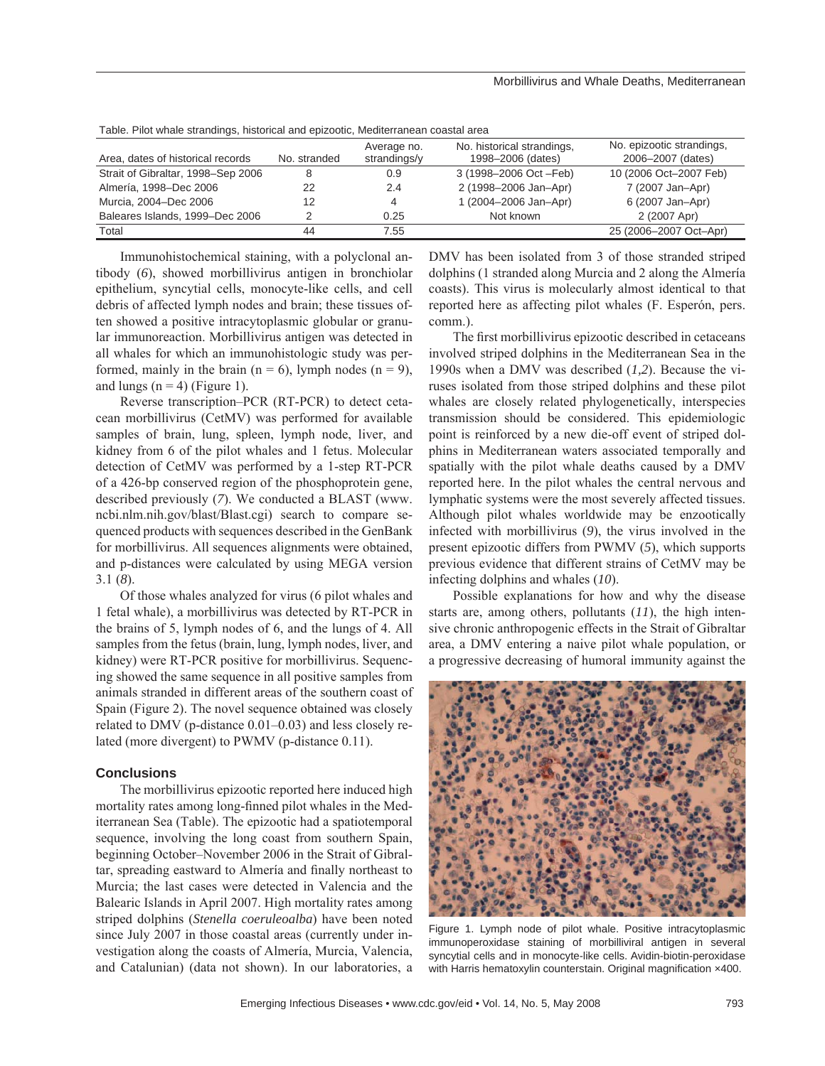| Table. I Tiot writale strationitys, mstorical ariu epizootic, ivieutierraficali coastal area |              |                             |                                                 |                                                |
|----------------------------------------------------------------------------------------------|--------------|-----------------------------|-------------------------------------------------|------------------------------------------------|
| Area, dates of historical records                                                            | No. stranded | Average no.<br>strandings/y | No. historical strandings,<br>1998-2006 (dates) | No. epizootic strandings,<br>2006-2007 (dates) |
| Strait of Gibraltar, 1998–Sep 2006                                                           | 8            | 0.9                         | 3 (1998-2006 Oct - Feb)                         | 10 (2006 Oct-2007 Feb)                         |
| Almería, 1998-Dec 2006                                                                       | 22           | 2.4                         | 2 (1998-2006 Jan-Apr)                           | 7 (2007 Jan-Apr)                               |
| Murcia, 2004-Dec 2006                                                                        | 12           | 4                           | 1 (2004-2006 Jan-Apr)                           | 6 (2007 Jan-Apr)                               |
| Baleares Islands, 1999-Dec 2006                                                              |              | 0.25                        | Not known                                       | 2 (2007 Apr)                                   |
| Total                                                                                        | 44           | 7.55                        |                                                 | 25 (2006-2007 Oct-Apr)                         |

Table. Pilot whale strandings, historical and epizootic, Mediterranean coastal area

Immunohistochemical staining, with a polyclonal antibody (*6*), showed morbillivirus antigen in bronchiolar epithelium, syncytial cells, monocyte-like cells, and cell debris of affected lymph nodes and brain; these tissues often showed a positive intracytoplasmic globular or granular immunoreaction. Morbillivirus antigen was detected in all whales for which an immunohistologic study was performed, mainly in the brain  $(n = 6)$ , lymph nodes  $(n = 9)$ , and lungs  $(n = 4)$  (Figure 1).

Reverse transcription–PCR (RT-PCR) to detect cetacean morbillivirus (CetMV) was performed for available samples of brain, lung, spleen, lymph node, liver, and kidney from 6 of the pilot whales and 1 fetus. Molecular detection of CetMV was performed by a 1-step RT-PCR of a 426-bp conserved region of the phosphoprotein gene, described previously (*7*). We conducted a BLAST (www. ncbi.nlm.nih.gov/blast/Blast.cgi) search to compare sequenced products with sequences described in the GenBank for morbillivirus. All sequences alignments were obtained, and p-distances were calculated by using MEGA version 3.1 (*8*).

Of those whales analyzed for virus (6 pilot whales and 1 fetal whale), a morbillivirus was detected by RT-PCR in the brains of 5, lymph nodes of 6, and the lungs of 4. All samples from the fetus (brain, lung, lymph nodes, liver, and kidney) were RT-PCR positive for morbillivirus. Sequencing showed the same sequence in all positive samples from animals stranded in different areas of the southern coast of Spain (Figure 2). The novel sequence obtained was closely related to DMV (p-distance 0.01–0.03) and less closely related (more divergent) to PWMV (p-distance 0.11).

#### **Conclusions**

The morbillivirus epizootic reported here induced high mortality rates among long-finned pilot whales in the Mediterranean Sea (Table). The epizootic had a spatiotemporal sequence, involving the long coast from southern Spain, beginning October–November 2006 in the Strait of Gibraltar, spreading eastward to Almería and finally northeast to Murcia; the last cases were detected in Valencia and the Balearic Islands in April 2007. High mortality rates among striped dolphins (*Stenella coeruleoalba*) have been noted since July 2007 in those coastal areas (currently under investigation along the coasts of Almería, Murcia, Valencia, and Catalunian) (data not shown). In our laboratories, a

DMV has been isolated from 3 of those stranded striped dolphins (1 stranded along Murcia and 2 along the Almería coasts). This virus is molecularly almost identical to that reported here as affecting pilot whales (F. Esperón, pers. comm.).

The first morbillivirus epizootic described in cetaceans involved striped dolphins in the Mediterranean Sea in the 1990s when a DMV was described (*1,2*). Because the viruses isolated from those striped dolphins and these pilot whales are closely related phylogenetically, interspecies transmission should be considered. This epidemiologic point is reinforced by a new die-off event of striped dolphins in Mediterranean waters associated temporally and spatially with the pilot whale deaths caused by a DMV reported here. In the pilot whales the central nervous and lymphatic systems were the most severely affected tissues. Although pilot whales worldwide may be enzootically infected with morbillivirus (*9*), the virus involved in the present epizootic differs from PWMV (*5*), which supports previous evidence that different strains of CetMV may be infecting dolphins and whales (*10*).

Possible explanations for how and why the disease starts are, among others, pollutants (*11*), the high intensive chronic anthropogenic effects in the Strait of Gibraltar area, a DMV entering a naive pilot whale population, or a progressive decreasing of humoral immunity against the



Figure 1. Lymph node of pilot whale. Positive intracytoplasmic immunoperoxidase staining of morbilliviral antigen in several syncytial cells and in monocyte-like cells. Avidin-biotin-peroxidase with Harris hematoxylin counterstain. Original magnification x400.